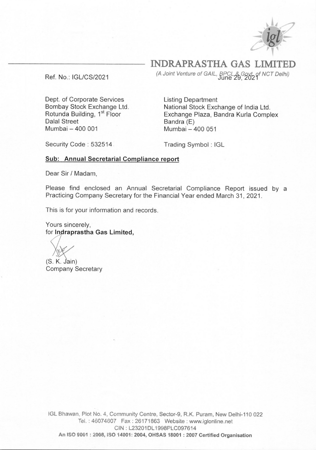

**INDRAPRASTHA GAS LIM** 

Ref. No.: IGL/CS/2021

*(A Joint venture of GAIL. f},,g9',9,7 NCT Detty* 

Dept. of Corporate Services Bombay Stock Exchange Ltd. Rotunda Building, 1<sup>st</sup> Floor Dalal Street Mumbai- 400 001

Listing Department National Stock Exchange of India Ltd. Exchange Plaza, Bandra Kurla Complex Bandra (E) Mumbai- 400 051

Security Code: 532514

Trading Symbol : IGL

## **Sub: Annual Secretarial Compliance report**

Dear Sir/ Madam,

Please find enclosed an Annual Secretarial Compliance Report issued by a Practicing Company Secretary for the Financial Year ended March 31, 2021.

This is for your information and records.<br>Yours sincerely,<br>for **Indraprastha Gas Limited,** Yours sincerely,

(S. K. Jain) Company Secretary

IGL Bhawan, Plot No. 4, Community Centre, Sector-9, R.K. Puram, New Delhi-110 022 Tel.: 46074607 Fax : 26171863 Website: www.iglonline.net CIN : L23201DL 1998PLC097614 **An ISO 9001 : 2008, ISO 14001: 2004, OHSAS 18001 : 2007 Certified Organisation**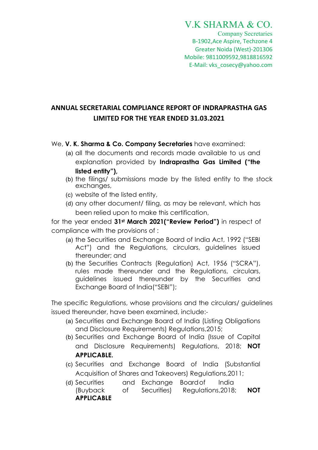## V.K SHARMA & CO.

Company Secretaries B-1902,Ace Aspire, Techzone 4 Greater Noida (West)-201306 Mobile: 9811009592,9818816592 E-Mail: vks\_cosecy@yahoo.com

## ANNUAL SECRETARIAL COMPLIANCE REPORT OF INDRAPRASTHA GAS LIMITED FOR THE YEAR ENDED 31.03.2021

We, **V. K. Sharma & Co. Company Secretaries** have examined:

- (a) all the documents and records made available to us and explanation provided by Indraprastha Gas Limited ("the listed entity"),
- (b) the filings/ submissions made by the listed entity to the stock exchanges,
- (c) website of the listed entity,
- (d) any other document/ filing, as may be relevant, which has been relied upon to make this certification,

for the year ended 31<sup>st</sup> March 2021 ("Review Period") in respect of compliance with the provisions of :

- (a) the Securities and Exchange Board of India Act, 1992 ("SEBI Act") and the Regulations, circulars, guidelines issued thereunder; and
- (b) the Securities Contracts (Regulation) Act, 1956 ("SCRA"), rules made thereunder and the Regulations, circulars, guidelines issued thereunder by the Securities and Exchange Board of India("SEBI");

The specific Regulations, whose provisions and the circulars/ guidelines issued thereunder, have been examined, include:-

- (a) Securities and Exchange Board of India (Listing Obligations and Disclosure Requirements) Regulations,2015;
- (b) Securities and Exchange Board of India (Issue of Capital and Disclosure Requirements) Regulations, 2018; NOT APPLICABLE.
- (c) Securities and Exchange Board of India (Substantial Acquisition of Shares and Takeovers) Regulations,2011;
- (d) Securities and Exchange Board of India (Buyback of Securities) Regulations,2018; NOT APPLICABLE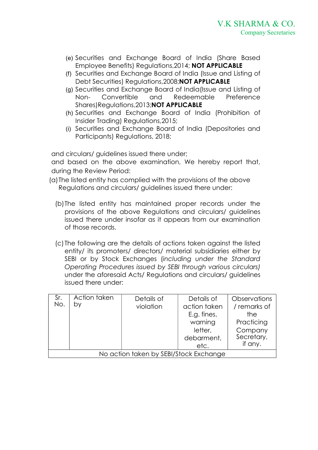- (e) Securities and Exchange Board of India (Share Based Employee Benefits) Regulations,2014; NOT APPLICABLE
- (f) Securities and Exchange Board of India (Issue and Listing of Debt Securities) Regulations,2008;NOT APPLICABLE
- (g) Securities and Exchange Board of India(Issue and Listing of Non- Convertible and Redeemable Preference Shares)Regulations,2013;NOT APPLICABLE
- (h) Securities and Exchange Board of India (Prohibition of Insider Trading) Regulations,2015;
- (i) Securities and Exchange Board of India (Depositories and Participants) Regulations, 2018;

and circulars/ guidelines issued there under;

and based on the above examination, We hereby report that, during the Review Period:

- (a)The listed entity has complied with the provisions of the above Regulations and circulars/ guidelines issued there under:
	- (b)The listed entity has maintained proper records under the provisions of the above Regulations and circulars/ guidelines issued there under insofar as it appears from our examination of those records.
	- (c) The following are the details of actions taken against the listed entity/ its promoters/ directors/ material subsidiaries either by SEBI or by Stock Exchanges (including under the Standard Operating Procedures issued by SEBI through various circulars) under the aforesaid Acts/ Regulations and circulars/ guidelines issued there under:

| Sr.<br>No.                             | bγ | Details of<br>violation | Details of<br>action taken<br>E.g. fines,<br>warning<br>letter,<br>debarment,<br>etc. | Observations<br>/ remarks of<br>the<br>Practicing<br>Company<br>Secretary,<br>if any. |  |  |
|----------------------------------------|----|-------------------------|---------------------------------------------------------------------------------------|---------------------------------------------------------------------------------------|--|--|
| No action taken by SEBI/Stock Exchange |    |                         |                                                                                       |                                                                                       |  |  |